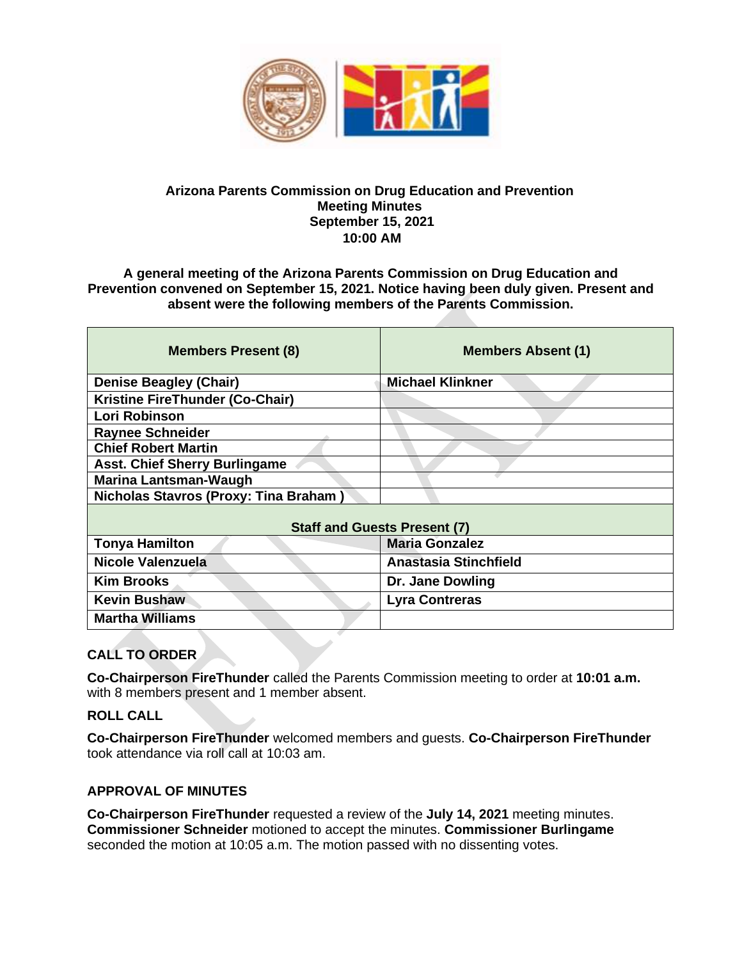

#### **Arizona Parents Commission on Drug Education and Prevention Meeting Minutes September 15, 2021 10:00 AM**

**A general meeting of the Arizona Parents Commission on Drug Education and Prevention convened on September 15, 2021. Notice having been duly given. Present and absent were the following members of the Parents Commission.** 

| <b>Members Present (8)</b>             | <b>Members Absent (1)</b>    |
|----------------------------------------|------------------------------|
| <b>Denise Beagley (Chair)</b>          | <b>Michael Klinkner</b>      |
| <b>Kristine FireThunder (Co-Chair)</b> |                              |
| Lori Robinson                          |                              |
| <b>Raynee Schneider</b>                |                              |
| <b>Chief Robert Martin</b>             |                              |
| <b>Asst. Chief Sherry Burlingame</b>   |                              |
| <b>Marina Lantsman-Waugh</b>           |                              |
| Nicholas Stavros (Proxy: Tina Braham)  |                              |
| <b>Staff and Guests Present (7)</b>    |                              |
| <b>Tonya Hamilton</b>                  | <b>Maria Gonzalez</b>        |
| Nicole Valenzuela                      | <b>Anastasia Stinchfield</b> |
| <b>Kim Brooks</b>                      | Dr. Jane Dowling             |
| <b>Kevin Bushaw</b>                    | <b>Lyra Contreras</b>        |
| <b>Martha Williams</b>                 |                              |

## **CALL TO ORDER**

**Co-Chairperson FireThunder** called the Parents Commission meeting to order at **10:01 a.m.** with 8 members present and 1 member absent.

#### **ROLL CALL**

**Co-Chairperson FireThunder** welcomed members and guests. **Co-Chairperson FireThunder**  took attendance via roll call at 10:03 am.

#### **APPROVAL OF MINUTES**

**Co-Chairperson FireThunder** requested a review of the **July 14, 2021** meeting minutes. **Commissioner Schneider** motioned to accept the minutes. **Commissioner Burlingame**  seconded the motion at 10:05 a.m. The motion passed with no dissenting votes.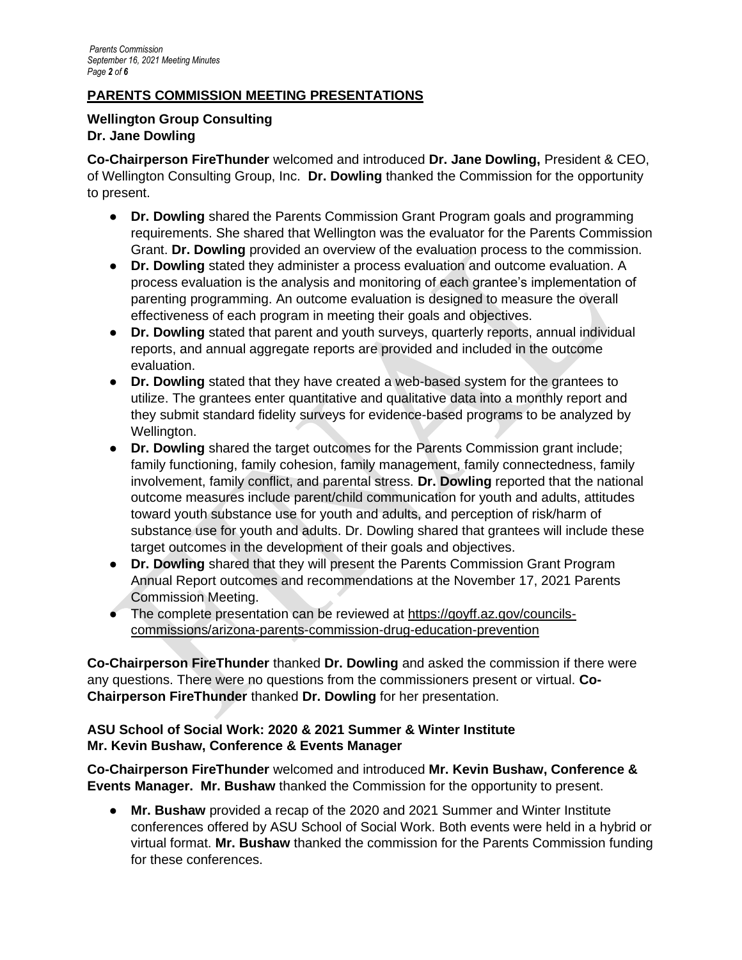## **PARENTS COMMISSION MEETING PRESENTATIONS**

#### **Wellington Group Consulting Dr. Jane Dowling**

**Co-Chairperson FireThunder** welcomed and introduced **Dr. Jane Dowling,** President & CEO, of Wellington Consulting Group, Inc. **Dr. Dowling** thanked the Commission for the opportunity to present.

- **Dr. Dowling** shared the Parents Commission Grant Program goals and programming requirements. She shared that Wellington was the evaluator for the Parents Commission Grant. **Dr. Dowling** provided an overview of the evaluation process to the commission.
- **Dr. Dowling** stated they administer a process evaluation and outcome evaluation. A process evaluation is the analysis and monitoring of each grantee's implementation of parenting programming. An outcome evaluation is designed to measure the overall effectiveness of each program in meeting their goals and objectives.
- **Dr. Dowling** stated that parent and youth surveys, quarterly reports, annual individual reports, and annual aggregate reports are provided and included in the outcome evaluation.
- **Dr. Dowling** stated that they have created a web-based system for the grantees to utilize. The grantees enter quantitative and qualitative data into a monthly report and they submit standard fidelity surveys for evidence-based programs to be analyzed by Wellington.
- **Dr. Dowling** shared the target outcomes for the Parents Commission grant include; family functioning, family cohesion, family management, family connectedness, family involvement, family conflict, and parental stress. **Dr. Dowling** reported that the national outcome measures include parent/child communication for youth and adults, attitudes toward youth substance use for youth and adults, and perception of risk/harm of substance use for youth and adults. Dr. Dowling shared that grantees will include these target outcomes in the development of their goals and objectives.
- **Dr. Dowling** shared that they will present the Parents Commission Grant Program Annual Report outcomes and recommendations at the November 17, 2021 Parents Commission Meeting.
- The complete presentation can be reviewed at [https://goyff.az.gov/councils](https://goyff.az.gov/councils-commissions/arizona-parents-commission-drug-education-prevention)[commissions/arizona-parents-commission-drug-education-prevention](https://goyff.az.gov/councils-commissions/arizona-parents-commission-drug-education-prevention)

**Co-Chairperson FireThunder** thanked **Dr. Dowling** and asked the commission if there were any questions. There were no questions from the commissioners present or virtual. **Co-Chairperson FireThunder** thanked **Dr. Dowling** for her presentation.

## **ASU School of Social Work: 2020 & 2021 Summer & Winter Institute Mr. Kevin Bushaw, Conference & Events Manager**

**Co-Chairperson FireThunder** welcomed and introduced **Mr. Kevin Bushaw, Conference & Events Manager. Mr. Bushaw** thanked the Commission for the opportunity to present.

● **Mr. Bushaw** provided a recap of the 2020 and 2021 Summer and Winter Institute conferences offered by ASU School of Social Work. Both events were held in a hybrid or virtual format. **Mr. Bushaw** thanked the commission for the Parents Commission funding for these conferences.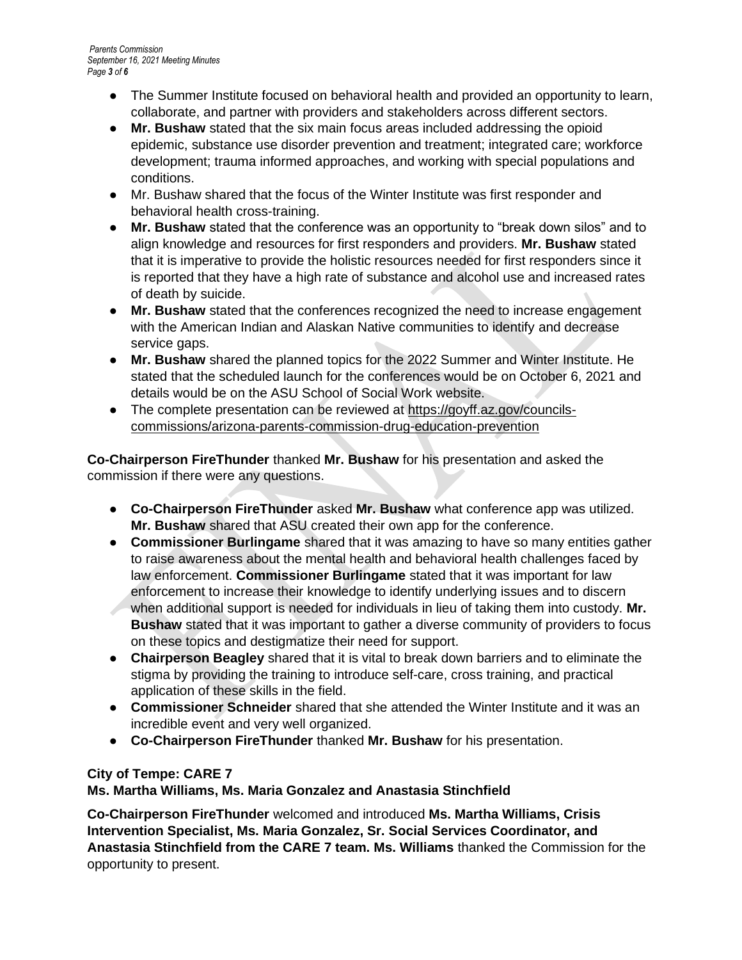- The Summer Institute focused on behavioral health and provided an opportunity to learn, collaborate, and partner with providers and stakeholders across different sectors.
- **Mr. Bushaw** stated that the six main focus areas included addressing the opioid epidemic, substance use disorder prevention and treatment; integrated care; workforce development; trauma informed approaches, and working with special populations and conditions.
- Mr. Bushaw shared that the focus of the Winter Institute was first responder and behavioral health cross-training.
- **Mr. Bushaw** stated that the conference was an opportunity to "break down silos" and to align knowledge and resources for first responders and providers. **Mr. Bushaw** stated that it is imperative to provide the holistic resources needed for first responders since it is reported that they have a high rate of substance and alcohol use and increased rates of death by suicide.
- **Mr. Bushaw** stated that the conferences recognized the need to increase engagement with the American Indian and Alaskan Native communities to identify and decrease service gaps.
- **Mr. Bushaw** shared the planned topics for the 2022 Summer and Winter Institute. He stated that the scheduled launch for the conferences would be on October 6, 2021 and details would be on the ASU School of Social Work website.
- The complete presentation can be reviewed at [https://goyff.az.gov/councils](https://goyff.az.gov/councils-commissions/arizona-parents-commission-drug-education-prevention)[commissions/arizona-parents-commission-drug-education-prevention](https://goyff.az.gov/councils-commissions/arizona-parents-commission-drug-education-prevention)

**Co-Chairperson FireThunder** thanked **Mr. Bushaw** for his presentation and asked the commission if there were any questions.

- **Co-Chairperson FireThunder** asked **Mr. Bushaw** what conference app was utilized. **Mr. Bushaw** shared that ASU created their own app for the conference.
- **Commissioner Burlingame** shared that it was amazing to have so many entities gather to raise awareness about the mental health and behavioral health challenges faced by law enforcement. **Commissioner Burlingame** stated that it was important for law enforcement to increase their knowledge to identify underlying issues and to discern when additional support is needed for individuals in lieu of taking them into custody. **Mr. Bushaw** stated that it was important to gather a diverse community of providers to focus on these topics and destigmatize their need for support.
- **Chairperson Beagley** shared that it is vital to break down barriers and to eliminate the stigma by providing the training to introduce self-care, cross training, and practical application of these skills in the field.
- **Commissioner Schneider** shared that she attended the Winter Institute and it was an incredible event and very well organized.
- **Co-Chairperson FireThunder** thanked **Mr. Bushaw** for his presentation.

## **City of Tempe: CARE 7**

# **Ms. Martha Williams, Ms. Maria Gonzalez and Anastasia Stinchfield**

**Co-Chairperson FireThunder** welcomed and introduced **Ms. Martha Williams, Crisis Intervention Specialist, Ms. Maria Gonzalez, Sr. Social Services Coordinator, and Anastasia Stinchfield from the CARE 7 team. Ms. Williams** thanked the Commission for the opportunity to present.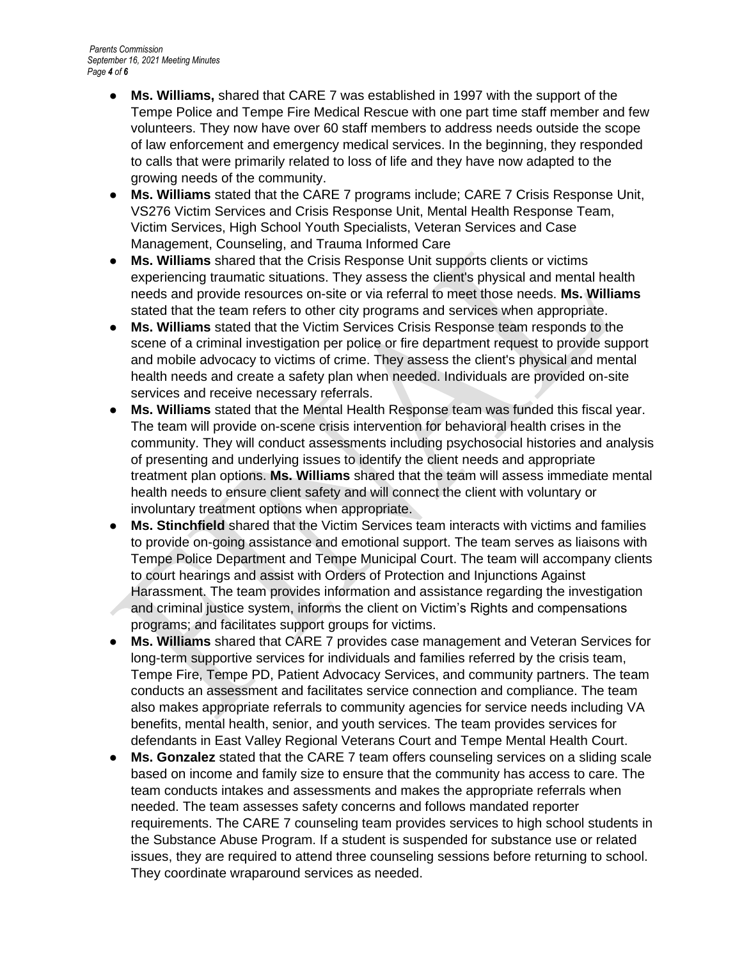- **Ms. Williams,** shared that CARE 7 was established in 1997 with the support of the Tempe Police and Tempe Fire Medical Rescue with one part time staff member and few volunteers. They now have over 60 staff members to address needs outside the scope of law enforcement and emergency medical services. In the beginning, they responded to calls that were primarily related to loss of life and they have now adapted to the growing needs of the community.
- **Ms. Williams** stated that the CARE 7 programs include; CARE 7 Crisis Response Unit, VS276 Victim Services and Crisis Response Unit, Mental Health Response Team, Victim Services, High School Youth Specialists, Veteran Services and Case Management, Counseling, and Trauma Informed Care
- **Ms. Williams** shared that the Crisis Response Unit supports clients or victims experiencing traumatic situations. They assess the client's physical and mental health needs and provide resources on-site or via referral to meet those needs. **Ms. Williams**  stated that the team refers to other city programs and services when appropriate.
- **Ms. Williams** stated that the Victim Services Crisis Response team responds to the scene of a criminal investigation per police or fire department request to provide support and mobile advocacy to victims of crime. They assess the client's physical and mental health needs and create a safety plan when needed. Individuals are provided on-site services and receive necessary referrals.
- **Ms. Williams** stated that the Mental Health Response team was funded this fiscal year. The team will provide on-scene crisis intervention for behavioral health crises in the community. They will conduct assessments including psychosocial histories and analysis of presenting and underlying issues to identify the client needs and appropriate treatment plan options. **Ms. Williams** shared that the team will assess immediate mental health needs to ensure client safety and will connect the client with voluntary or involuntary treatment options when appropriate.
- **Ms. Stinchfield** shared that the Victim Services team interacts with victims and families to provide on-going assistance and emotional support. The team serves as liaisons with Tempe Police Department and Tempe Municipal Court. The team will accompany clients to court hearings and assist with Orders of Protection and Injunctions Against Harassment. The team provides information and assistance regarding the investigation and criminal justice system, informs the client on Victim's Rights and compensations programs; and facilitates support groups for victims.
- **Ms. Williams** shared that CARE 7 provides case management and Veteran Services for long-term supportive services for individuals and families referred by the crisis team, Tempe Fire, Tempe PD, Patient Advocacy Services, and community partners. The team conducts an assessment and facilitates service connection and compliance. The team also makes appropriate referrals to community agencies for service needs including VA benefits, mental health, senior, and youth services. The team provides services for defendants in East Valley Regional Veterans Court and Tempe Mental Health Court.
- **Ms. Gonzalez** stated that the CARE 7 team offers counseling services on a sliding scale based on income and family size to ensure that the community has access to care. The team conducts intakes and assessments and makes the appropriate referrals when needed. The team assesses safety concerns and follows mandated reporter requirements. The CARE 7 counseling team provides services to high school students in the Substance Abuse Program. If a student is suspended for substance use or related issues, they are required to attend three counseling sessions before returning to school. They coordinate wraparound services as needed.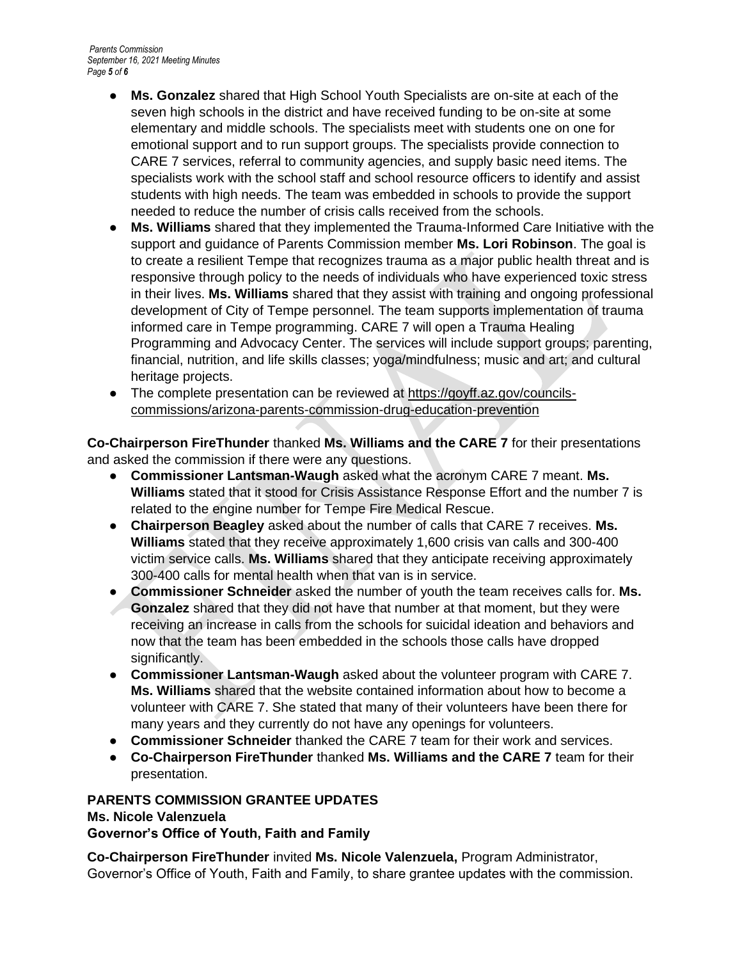- **Ms. Gonzalez** shared that High School Youth Specialists are on-site at each of the seven high schools in the district and have received funding to be on-site at some elementary and middle schools. The specialists meet with students one on one for emotional support and to run support groups. The specialists provide connection to CARE 7 services, referral to community agencies, and supply basic need items. The specialists work with the school staff and school resource officers to identify and assist students with high needs. The team was embedded in schools to provide the support needed to reduce the number of crisis calls received from the schools.
- **Ms. Williams** shared that they implemented the Trauma-Informed Care Initiative with the support and guidance of Parents Commission member **Ms. Lori Robinson**. The goal is to create a resilient Tempe that recognizes trauma as a major public health threat and is responsive through policy to the needs of individuals who have experienced toxic stress in their lives. **Ms. Williams** shared that they assist with training and ongoing professional development of City of Tempe personnel. The team supports implementation of trauma informed care in Tempe programming. CARE 7 will open a Trauma Healing Programming and Advocacy Center. The services will include support groups; parenting, financial, nutrition, and life skills classes; yoga/mindfulness; music and art; and cultural heritage projects.
- The complete presentation can be reviewed at [https://goyff.az.gov/councils](https://goyff.az.gov/councils-commissions/arizona-parents-commission-drug-education-prevention)[commissions/arizona-parents-commission-drug-education-prevention](https://goyff.az.gov/councils-commissions/arizona-parents-commission-drug-education-prevention)

**Co-Chairperson FireThunder** thanked **Ms. Williams and the CARE 7** for their presentations and asked the commission if there were any questions.

- **Commissioner Lantsman-Waugh** asked what the acronym CARE 7 meant. **Ms. Williams** stated that it stood for Crisis Assistance Response Effort and the number 7 is related to the engine number for Tempe Fire Medical Rescue.
- **Chairperson Beagley** asked about the number of calls that CARE 7 receives. **Ms. Williams** stated that they receive approximately 1,600 crisis van calls and 300-400 victim service calls. **Ms. Williams** shared that they anticipate receiving approximately 300-400 calls for mental health when that van is in service.
- **Commissioner Schneider** asked the number of youth the team receives calls for. **Ms. Gonzalez** shared that they did not have that number at that moment, but they were receiving an increase in calls from the schools for suicidal ideation and behaviors and now that the team has been embedded in the schools those calls have dropped significantly.
- **Commissioner Lantsman-Waugh** asked about the volunteer program with CARE 7. **Ms. Williams** shared that the website contained information about how to become a volunteer with CARE 7. She stated that many of their volunteers have been there for many years and they currently do not have any openings for volunteers.
- **Commissioner Schneider** thanked the CARE 7 team for their work and services.
- **Co-Chairperson FireThunder** thanked **Ms. Williams and the CARE 7** team for their presentation.

# **PARENTS COMMISSION GRANTEE UPDATES**

#### **Ms. Nicole Valenzuela**

**Governor's Office of Youth, Faith and Family**

**Co-Chairperson FireThunder** invited **Ms. Nicole Valenzuela,** Program Administrator, Governor's Office of Youth, Faith and Family, to share grantee updates with the commission.